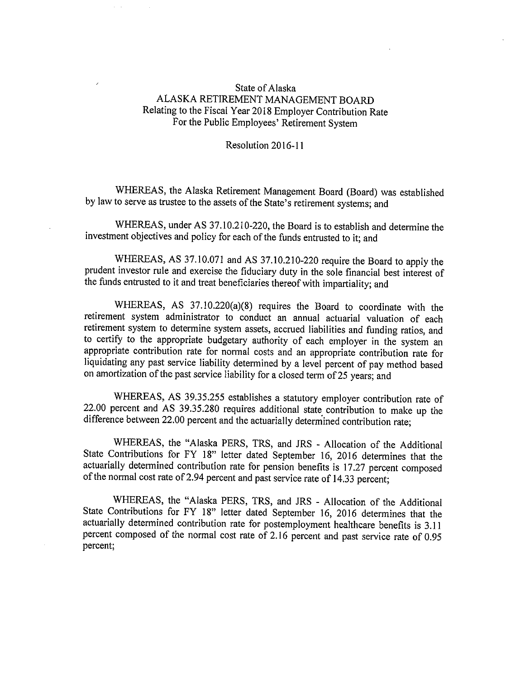## State of Alaska ALASKA RETIREMENT MANAGEMENT BOARD Relating to the Fiscal Year 2018 Employer Contribution Rate For the Public Employees' Retirement System

Resolution 2016-11

WHEREAS, the Alaska Retirement Management Board (Board) was established by law to serve as trustee to the assets of the State's retirement systems; and

WHEREAS, under AS 37.10.210-220, the Board is to establish and determine the investment objectives and policy for each of the funds entrusted to it; and

WHEREAS, AS 37.10.071 and AS 37.10.210-220 require the Board to apply the prudent investor rule and exercise the fiduciary duty in the sole financial best interest of the funds entrusted to it and treat beneficiaries thereof with impartiality; and

WHEREAS, AS 37.10.220(a)(8) requires the Board to coordinate with the retirement system administrator to conduct an annual actuarial valuation of each retirement system to determine system assets, accrued liabilities and funding ratios, and to certify to the appropriate budgetary authority of each employer in the system an appropriate contribution rate for normal costs and an appropriate contribution rate for liquidating any past service liability determined by <sup>a</sup> level percent of pay method based on amortization of the past service liability for <sup>a</sup> closed term of 25 years; and

WHEREAS, AS 39.35.255 establishes <sup>a</sup> statutory employer contribution rate of 22.00 percent and AS 39.35.280 requires additional state contribution to make up the difference between 22.00 percent and the actuarially determined contribution rate;

WHEREAS, the "Alaska PERS, TRS, and JRS - Allocation of the Additional State Contributions for FY 18" letter dated September 16, 2016 determines that the actuarially determined contribution rate for pension benefits is 17.27 percent composed of the normal cost rate of 2.94 percent and past service rate of 14.33 percent;

WHEREAS, the "Alaska PERS, TRS, and JRS - Allocation of the Additional State Contributions for FY 18" letter dated September 16, 2016 determines that the actuarially determined contribution rate for postemployment healthcare benefits is 3.11 percent composed of the normal cost rate of 2.16 percent and past service rate of 0.95 percent;